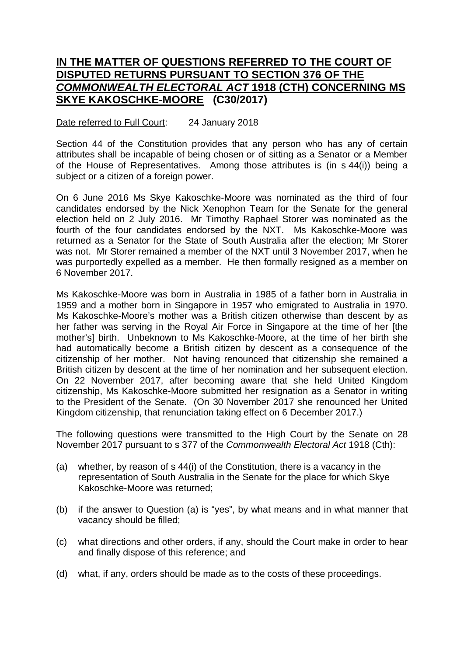## **IN THE MATTER OF QUESTIONS REFERRED TO THE COURT OF DISPUTED RETURNS PURSUANT TO SECTION 376 OF THE**  *COMMONWEALTH ELECTORAL ACT* **1918 (CTH) CONCERNING MS SKYE KAKOSCHKE-MOORE (C30/2017)**

## Date referred to Full Court: 24 January 2018

Section 44 of the Constitution provides that any person who has any of certain attributes shall be incapable of being chosen or of sitting as a Senator or a Member of the House of Representatives. Among those attributes is (in s 44(i)) being a subject or a citizen of a foreign power.

On 6 June 2016 Ms Skye Kakoschke-Moore was nominated as the third of four candidates endorsed by the Nick Xenophon Team for the Senate for the general election held on 2 July 2016. Mr Timothy Raphael Storer was nominated as the fourth of the four candidates endorsed by the NXT. Ms Kakoschke-Moore was returned as a Senator for the State of South Australia after the election; Mr Storer was not. Mr Storer remained a member of the NXT until 3 November 2017, when he was purportedly expelled as a member. He then formally resigned as a member on 6 November 2017.

Ms Kakoschke-Moore was born in Australia in 1985 of a father born in Australia in 1959 and a mother born in Singapore in 1957 who emigrated to Australia in 1970. Ms Kakoschke-Moore's mother was a British citizen otherwise than descent by as her father was serving in the Royal Air Force in Singapore at the time of her [the mother's] birth. Unbeknown to Ms Kakoschke-Moore, at the time of her birth she had automatically become a British citizen by descent as a consequence of the citizenship of her mother. Not having renounced that citizenship she remained a British citizen by descent at the time of her nomination and her subsequent election. On 22 November 2017, after becoming aware that she held United Kingdom citizenship, Ms Kakoschke-Moore submitted her resignation as a Senator in writing to the President of the Senate. (On 30 November 2017 she renounced her United Kingdom citizenship, that renunciation taking effect on 6 December 2017.)

The following questions were transmitted to the High Court by the Senate on 28 November 2017 pursuant to s 377 of the *Commonwealth Electoral Act* 1918 (Cth):

- (a) whether, by reason of s 44(i) of the Constitution, there is a vacancy in the representation of South Australia in the Senate for the place for which Skye Kakoschke-Moore was returned;
- (b) if the answer to Question (a) is "yes", by what means and in what manner that vacancy should be filled;
- (c) what directions and other orders, if any, should the Court make in order to hear and finally dispose of this reference; and
- (d) what, if any, orders should be made as to the costs of these proceedings.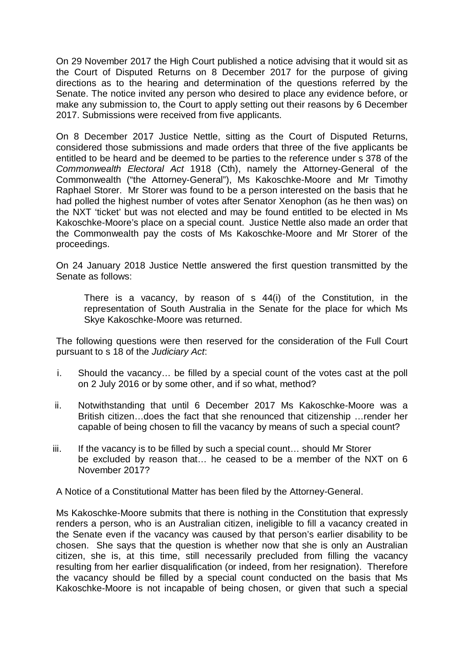On 29 November 2017 the High Court published a notice advising that it would sit as the Court of Disputed Returns on 8 December 2017 for the purpose of giving directions as to the hearing and determination of the questions referred by the Senate. The notice invited any person who desired to place any evidence before, or make any submission to, the Court to apply setting out their reasons by 6 December 2017. Submissions were received from five applicants.

On 8 December 2017 Justice Nettle, sitting as the Court of Disputed Returns, considered those submissions and made orders that three of the five applicants be entitled to be heard and be deemed to be parties to the reference under s 378 of the *Commonwealth Electoral Act* 1918 (Cth), namely the Attorney-General of the Commonwealth ("the Attorney-General"), Ms Kakoschke-Moore and Mr Timothy Raphael Storer. Mr Storer was found to be a person interested on the basis that he had polled the highest number of votes after Senator Xenophon (as he then was) on the NXT 'ticket' but was not elected and may be found entitled to be elected in Ms Kakoschke-Moore's place on a special count. Justice Nettle also made an order that the Commonwealth pay the costs of Ms Kakoschke-Moore and Mr Storer of the proceedings.

On 24 January 2018 Justice Nettle answered the first question transmitted by the Senate as follows:

There is a vacancy, by reason of s 44(i) of the Constitution, in the representation of South Australia in the Senate for the place for which Ms Skye Kakoschke-Moore was returned.

The following questions were then reserved for the consideration of the Full Court pursuant to s 18 of the *Judiciary Act*:

- i. Should the vacancy… be filled by a special count of the votes cast at the poll on 2 July 2016 or by some other, and if so what, method?
- ii. Notwithstanding that until 6 December 2017 Ms Kakoschke-Moore was a British citizen…does the fact that she renounced that citizenship …render her capable of being chosen to fill the vacancy by means of such a special count?
- iii. If the vacancy is to be filled by such a special count… should Mr Storer be excluded by reason that… he ceased to be a member of the NXT on 6 November 2017?

A Notice of a Constitutional Matter has been filed by the Attorney-General.

Ms Kakoschke-Moore submits that there is nothing in the Constitution that expressly renders a person, who is an Australian citizen, ineligible to fill a vacancy created in the Senate even if the vacancy was caused by that person's earlier disability to be chosen. She says that the question is whether now that she is only an Australian citizen, she is, at this time, still necessarily precluded from filling the vacancy resulting from her earlier disqualification (or indeed, from her resignation). Therefore the vacancy should be filled by a special count conducted on the basis that Ms Kakoschke-Moore is not incapable of being chosen, or given that such a special